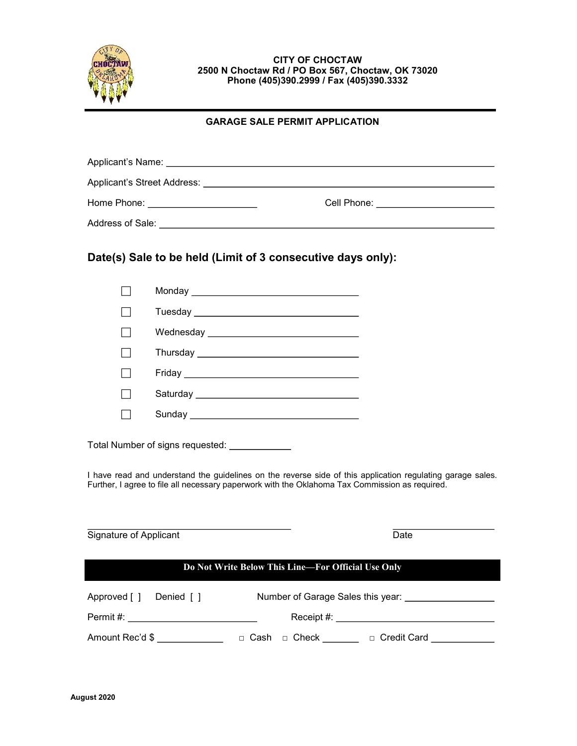

## **CITY OF CHOCTAW 2500 N Choctaw Rd / PO Box 567, Choctaw, OK 73020 Phone (405)390.2999 / Fax (405)390.3332**

## **GARAGE SALE PERMIT APPLICATION**

| Applicant's Street Address: |             |
|-----------------------------|-------------|
| Home Phone:                 | Cell Phone: |
| Address of Sale:            |             |

## **Date(s) Sale to be held (Limit of 3 consecutive days only):**

| Monday _____________________________      |
|-------------------------------------------|
|                                           |
| Wednesday ______________________________  |
| Thursday ________________________________ |
|                                           |
|                                           |
| Sunday _________________________________  |

Total Number of signs requested:

I have read and understand the guidelines on the reverse side of this application regulating garage sales. Further, I agree to file all necessary paperwork with the Oklahoma Tax Commission as required.

| Signature of Applicant                             | Date                                                   |  |
|----------------------------------------------------|--------------------------------------------------------|--|
| Do Not Write Below This Line—For Official Use Only |                                                        |  |
| Approved [ ] Denied [ ]                            | Number of Garage Sales this year:                      |  |
|                                                    |                                                        |  |
| Amount Rec'd \$                                    | □ Cash □ Check <u>Unit Offer Biggers</u> Decredit Card |  |